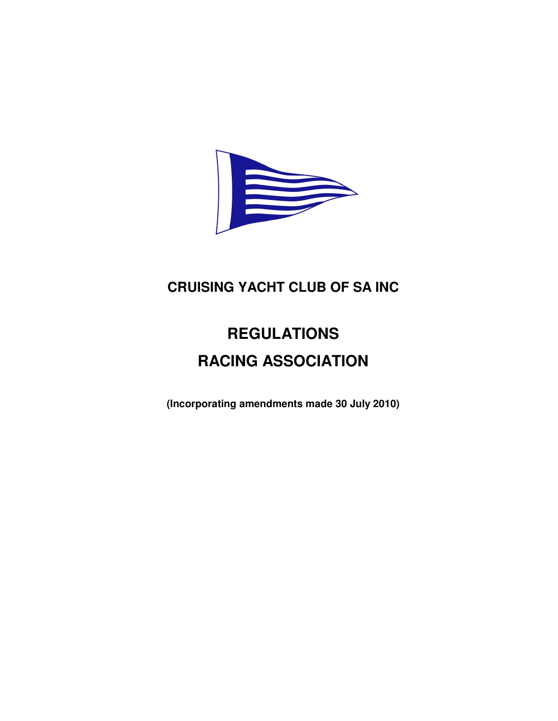

# **CRUISING YACHT CLUB OF SA INC**

# **REGULATIONS RACING ASSOCIATION**

**(Incorporating amendments made 30 July 2010)**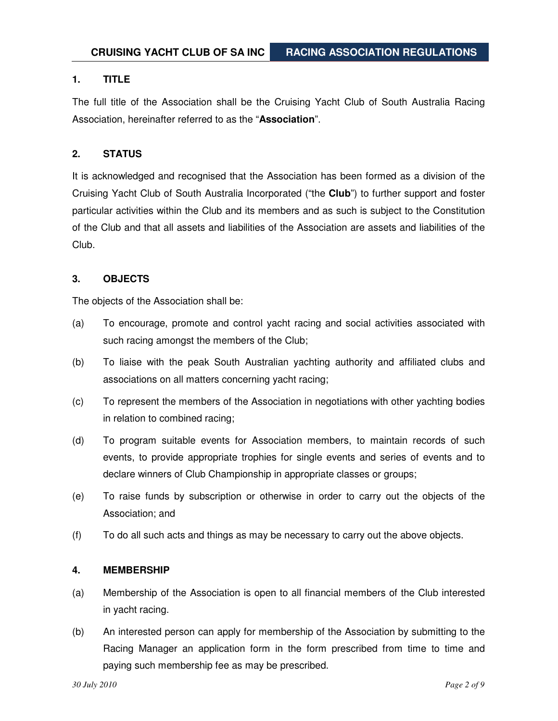# **1. TITLE**

The full title of the Association shall be the Cruising Yacht Club of South Australia Racing Association, hereinafter referred to as the "**Association**".

# **2. STATUS**

It is acknowledged and recognised that the Association has been formed as a division of the Cruising Yacht Club of South Australia Incorporated ("the **Club**") to further support and foster particular activities within the Club and its members and as such is subject to the Constitution of the Club and that all assets and liabilities of the Association are assets and liabilities of the Club.

# **3. OBJECTS**

The objects of the Association shall be:

- (a) To encourage, promote and control yacht racing and social activities associated with such racing amongst the members of the Club;
- (b) To liaise with the peak South Australian yachting authority and affiliated clubs and associations on all matters concerning yacht racing;
- (c) To represent the members of the Association in negotiations with other yachting bodies in relation to combined racing;
- (d) To program suitable events for Association members, to maintain records of such events, to provide appropriate trophies for single events and series of events and to declare winners of Club Championship in appropriate classes or groups;
- (e) To raise funds by subscription or otherwise in order to carry out the objects of the Association; and
- (f) To do all such acts and things as may be necessary to carry out the above objects.

# **4. MEMBERSHIP**

- (a) Membership of the Association is open to all financial members of the Club interested in yacht racing.
- (b) An interested person can apply for membership of the Association by submitting to the Racing Manager an application form in the form prescribed from time to time and paying such membership fee as may be prescribed.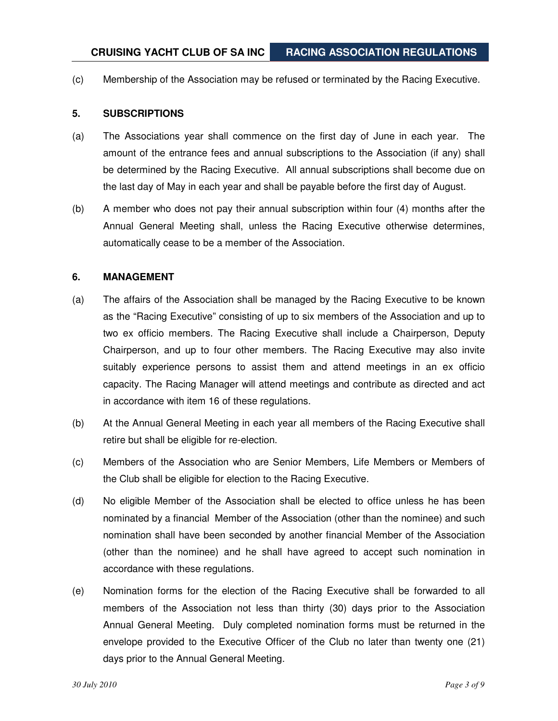(c) Membership of the Association may be refused or terminated by the Racing Executive.

#### **5. SUBSCRIPTIONS**

- (a) The Associations year shall commence on the first day of June in each year. The amount of the entrance fees and annual subscriptions to the Association (if any) shall be determined by the Racing Executive. All annual subscriptions shall become due on the last day of May in each year and shall be payable before the first day of August.
- (b) A member who does not pay their annual subscription within four (4) months after the Annual General Meeting shall, unless the Racing Executive otherwise determines, automatically cease to be a member of the Association.

#### **6. MANAGEMENT**

- (a) The affairs of the Association shall be managed by the Racing Executive to be known as the "Racing Executive" consisting of up to six members of the Association and up to two ex officio members. The Racing Executive shall include a Chairperson, Deputy Chairperson, and up to four other members. The Racing Executive may also invite suitably experience persons to assist them and attend meetings in an ex officio capacity. The Racing Manager will attend meetings and contribute as directed and act in accordance with item 16 of these regulations.
- (b) At the Annual General Meeting in each year all members of the Racing Executive shall retire but shall be eligible for re-election.
- (c) Members of the Association who are Senior Members, Life Members or Members of the Club shall be eligible for election to the Racing Executive.
- (d) No eligible Member of the Association shall be elected to office unless he has been nominated by a financial Member of the Association (other than the nominee) and such nomination shall have been seconded by another financial Member of the Association (other than the nominee) and he shall have agreed to accept such nomination in accordance with these regulations.
- (e) Nomination forms for the election of the Racing Executive shall be forwarded to all members of the Association not less than thirty (30) days prior to the Association Annual General Meeting. Duly completed nomination forms must be returned in the envelope provided to the Executive Officer of the Club no later than twenty one (21) days prior to the Annual General Meeting.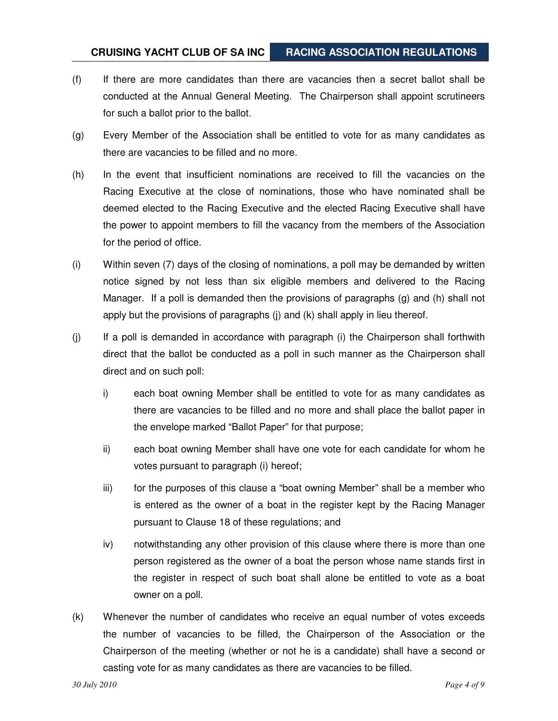- (f) If there are more candidates than there are vacancies then a secret ballot shall be conducted at the Annual General Meeting. The Chairperson shall appoint scrutineers for such a ballot prior to the ballot.
- (g) Every Member of the Association shall be entitled to vote for as many candidates as there are vacancies to be filled and no more.
- (h) In the event that insufficient nominations are received to fill the vacancies on the Racing Executive at the close of nominations, those who have nominated shall be deemed elected to the Racing Executive and the elected Racing Executive shall have the power to appoint members to fill the vacancy from the members of the Association for the period of office.
- (i) Within seven (7) days of the closing of nominations, a poll may be demanded by written notice signed by not less than six eligible members and delivered to the Racing Manager. If a poll is demanded then the provisions of paragraphs (g) and (h) shall not apply but the provisions of paragraphs (j) and (k) shall apply in lieu thereof.
- (j) If a poll is demanded in accordance with paragraph (i) the Chairperson shall forthwith direct that the ballot be conducted as a poll in such manner as the Chairperson shall direct and on such poll:
	- i) each boat owning Member shall be entitled to vote for as many candidates as there are vacancies to be filled and no more and shall place the ballot paper in the envelope marked "Ballot Paper" for that purpose;
	- ii) each boat owning Member shall have one vote for each candidate for whom he votes pursuant to paragraph (i) hereof;
	- iii) for the purposes of this clause a "boat owning Member" shall be a member who is entered as the owner of a boat in the register kept by the Racing Manager pursuant to Clause 18 of these regulations; and
	- iv) notwithstanding any other provision of this clause where there is more than one person registered as the owner of a boat the person whose name stands first in the register in respect of such boat shall alone be entitled to vote as a boat owner on a poll.
- (k) Whenever the number of candidates who receive an equal number of votes exceeds the number of vacancies to be filled, the Chairperson of the Association or the Chairperson of the meeting (whether or not he is a candidate) shall have a second or casting vote for as many candidates as there are vacancies to be filled.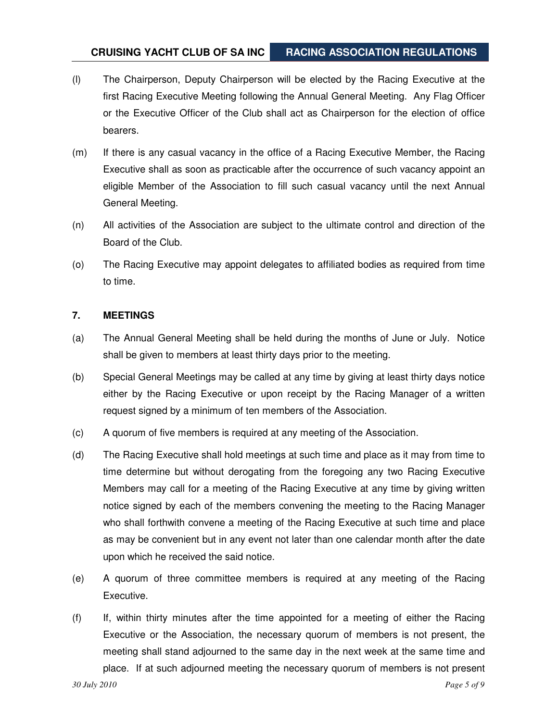- (l) The Chairperson, Deputy Chairperson will be elected by the Racing Executive at the first Racing Executive Meeting following the Annual General Meeting. Any Flag Officer or the Executive Officer of the Club shall act as Chairperson for the election of office bearers.
- (m) If there is any casual vacancy in the office of a Racing Executive Member, the Racing Executive shall as soon as practicable after the occurrence of such vacancy appoint an eligible Member of the Association to fill such casual vacancy until the next Annual General Meeting.
- (n) All activities of the Association are subject to the ultimate control and direction of the Board of the Club.
- (o) The Racing Executive may appoint delegates to affiliated bodies as required from time to time.

# **7. MEETINGS**

- (a) The Annual General Meeting shall be held during the months of June or July. Notice shall be given to members at least thirty days prior to the meeting.
- (b) Special General Meetings may be called at any time by giving at least thirty days notice either by the Racing Executive or upon receipt by the Racing Manager of a written request signed by a minimum of ten members of the Association.
- (c) A quorum of five members is required at any meeting of the Association.
- (d) The Racing Executive shall hold meetings at such time and place as it may from time to time determine but without derogating from the foregoing any two Racing Executive Members may call for a meeting of the Racing Executive at any time by giving written notice signed by each of the members convening the meeting to the Racing Manager who shall forthwith convene a meeting of the Racing Executive at such time and place as may be convenient but in any event not later than one calendar month after the date upon which he received the said notice.
- (e) A quorum of three committee members is required at any meeting of the Racing Executive.
- (f) If, within thirty minutes after the time appointed for a meeting of either the Racing Executive or the Association, the necessary quorum of members is not present, the meeting shall stand adjourned to the same day in the next week at the same time and place. If at such adjourned meeting the necessary quorum of members is not present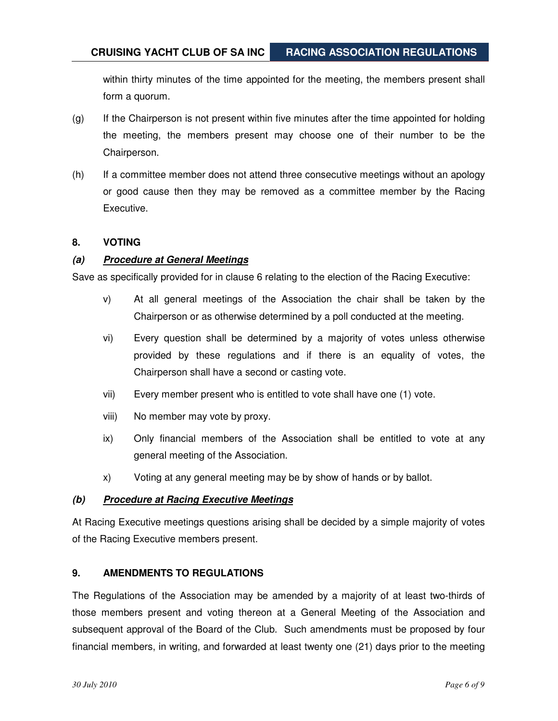within thirty minutes of the time appointed for the meeting, the members present shall form a quorum.

- (g) If the Chairperson is not present within five minutes after the time appointed for holding the meeting, the members present may choose one of their number to be the Chairperson.
- (h) If a committee member does not attend three consecutive meetings without an apology or good cause then they may be removed as a committee member by the Racing Executive.

### **8. VOTING**

## **(a) Procedure at General Meetings**

Save as specifically provided for in clause 6 relating to the election of the Racing Executive:

- v) At all general meetings of the Association the chair shall be taken by the Chairperson or as otherwise determined by a poll conducted at the meeting.
- vi) Every question shall be determined by a majority of votes unless otherwise provided by these regulations and if there is an equality of votes, the Chairperson shall have a second or casting vote.
- vii) Every member present who is entitled to vote shall have one (1) vote.
- viii) No member may vote by proxy.
- ix) Only financial members of the Association shall be entitled to vote at any general meeting of the Association.
- x) Voting at any general meeting may be by show of hands or by ballot.

### **(b) Procedure at Racing Executive Meetings**

At Racing Executive meetings questions arising shall be decided by a simple majority of votes of the Racing Executive members present.

# **9. AMENDMENTS TO REGULATIONS**

The Regulations of the Association may be amended by a majority of at least two-thirds of those members present and voting thereon at a General Meeting of the Association and subsequent approval of the Board of the Club. Such amendments must be proposed by four financial members, in writing, and forwarded at least twenty one (21) days prior to the meeting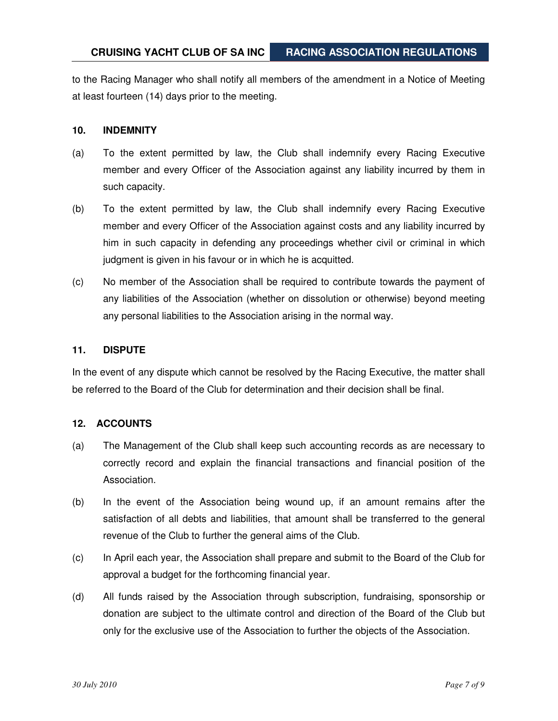to the Racing Manager who shall notify all members of the amendment in a Notice of Meeting at least fourteen (14) days prior to the meeting.

#### **10. INDEMNITY**

- (a) To the extent permitted by law, the Club shall indemnify every Racing Executive member and every Officer of the Association against any liability incurred by them in such capacity.
- (b) To the extent permitted by law, the Club shall indemnify every Racing Executive member and every Officer of the Association against costs and any liability incurred by him in such capacity in defending any proceedings whether civil or criminal in which judgment is given in his favour or in which he is acquitted.
- (c) No member of the Association shall be required to contribute towards the payment of any liabilities of the Association (whether on dissolution or otherwise) beyond meeting any personal liabilities to the Association arising in the normal way.

#### **11. DISPUTE**

In the event of any dispute which cannot be resolved by the Racing Executive, the matter shall be referred to the Board of the Club for determination and their decision shall be final.

### **12. ACCOUNTS**

- (a) The Management of the Club shall keep such accounting records as are necessary to correctly record and explain the financial transactions and financial position of the Association.
- (b) In the event of the Association being wound up, if an amount remains after the satisfaction of all debts and liabilities, that amount shall be transferred to the general revenue of the Club to further the general aims of the Club.
- (c) In April each year, the Association shall prepare and submit to the Board of the Club for approval a budget for the forthcoming financial year.
- (d) All funds raised by the Association through subscription, fundraising, sponsorship or donation are subject to the ultimate control and direction of the Board of the Club but only for the exclusive use of the Association to further the objects of the Association.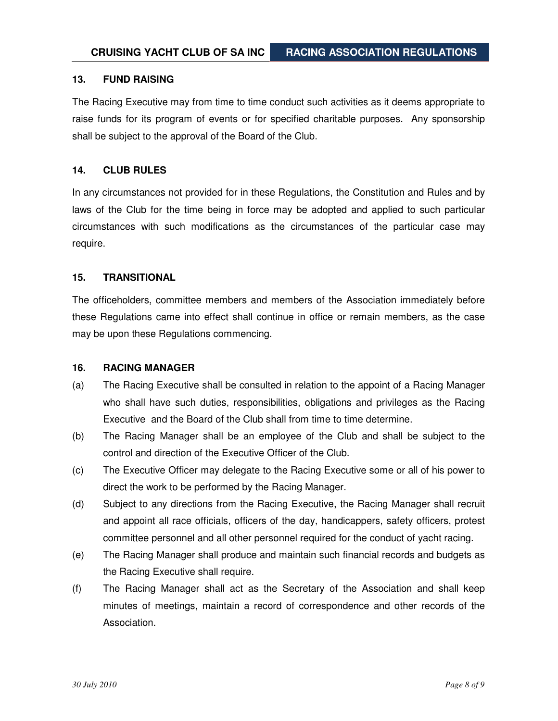#### **13. FUND RAISING**

The Racing Executive may from time to time conduct such activities as it deems appropriate to raise funds for its program of events or for specified charitable purposes. Any sponsorship shall be subject to the approval of the Board of the Club.

#### **14. CLUB RULES**

In any circumstances not provided for in these Regulations, the Constitution and Rules and by laws of the Club for the time being in force may be adopted and applied to such particular circumstances with such modifications as the circumstances of the particular case may require.

#### **15. TRANSITIONAL**

The officeholders, committee members and members of the Association immediately before these Regulations came into effect shall continue in office or remain members, as the case may be upon these Regulations commencing.

#### **16. RACING MANAGER**

- (a) The Racing Executive shall be consulted in relation to the appoint of a Racing Manager who shall have such duties, responsibilities, obligations and privileges as the Racing Executive and the Board of the Club shall from time to time determine.
- (b) The Racing Manager shall be an employee of the Club and shall be subject to the control and direction of the Executive Officer of the Club.
- (c) The Executive Officer may delegate to the Racing Executive some or all of his power to direct the work to be performed by the Racing Manager.
- (d) Subject to any directions from the Racing Executive, the Racing Manager shall recruit and appoint all race officials, officers of the day, handicappers, safety officers, protest committee personnel and all other personnel required for the conduct of yacht racing.
- (e) The Racing Manager shall produce and maintain such financial records and budgets as the Racing Executive shall require.
- (f) The Racing Manager shall act as the Secretary of the Association and shall keep minutes of meetings, maintain a record of correspondence and other records of the Association.